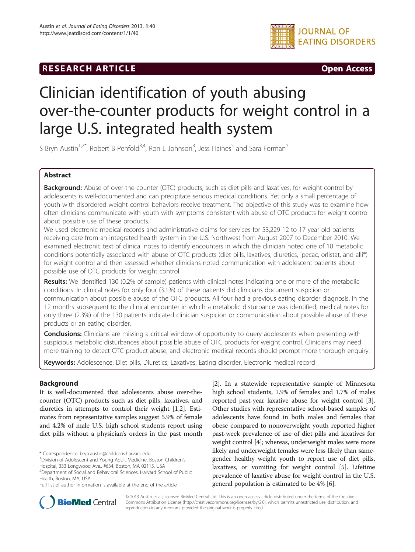# **RESEARCH ARTICLE CONSUMING A RESEARCH ARTICLE**



# Clinician identification of youth abusing over-the-counter products for weight control in a large U.S. integrated health system

S Bryn Austin<sup>1,2\*</sup>, Robert B Penfold<sup>3,4</sup>, Ron L Johnson<sup>3</sup>, Jess Haines<sup>5</sup> and Sara Forman<sup>1</sup>

# Abstract

Background: Abuse of over-the-counter (OTC) products, such as diet pills and laxatives, for weight control by adolescents is well-documented and can precipitate serious medical conditions. Yet only a small percentage of youth with disordered weight control behaviors receive treatment. The objective of this study was to examine how often clinicians communicate with youth with symptoms consistent with abuse of OTC products for weight control about possible use of these products.

We used electronic medical records and administrative claims for services for 53,229 12 to 17 year old patients receiving care from an integrated health system in the U.S. Northwest from August 2007 to December 2010. We examined electronic text of clinical notes to identify encounters in which the clinician noted one of 10 metabolic conditions potentially associated with abuse of OTC products (diet pills, laxatives, diuretics, ipecac, orlistat, and alli®) for weight control and then assessed whether clinicians noted communication with adolescent patients about possible use of OTC products for weight control.

Results: We identified 130 (0.2% of sample) patients with clinical notes indicating one or more of the metabolic conditions. In clinical notes for only four (3.1%) of these patients did clinicians document suspicion or communication about possible abuse of the OTC products. All four had a previous eating disorder diagnosis. In the 12 months subsequent to the clinical encounter in which a metabolic disturbance was identified, medical notes for only three (2.3%) of the 130 patients indicated clinician suspicion or communication about possible abuse of these products or an eating disorder.

**Conclusions:** Clinicians are missing a critical window of opportunity to query adolescents when presenting with suspicious metabolic disturbances about possible abuse of OTC products for weight control. Clinicians may need more training to detect OTC product abuse, and electronic medical records should prompt more thorough enquiry.

Keywords: Adolescence, Diet pills, Diuretics, Laxatives, Eating disorder, Electronic medical record

# Background

It is well-documented that adolescents abuse over-thecounter (OTC) products such as diet pills, laxatives, and diuretics in attempts to control their weight [[1,2\]](#page-5-0). Estimates from representative samples suggest 5.9% of female and 4.2% of male U.S. high school students report using diet pills without a physician's orders in the past month

Hospital, 333 Longwood Ave., #634, Boston, MA 02115, USA 2 Department of Social and Behavioral Sciences, Harvard School of Public

[[2\]](#page-5-0). In a statewide representative sample of Minnesota high school students, 1.9% of females and 1.7% of males reported past-year laxative abuse for weight control [[3](#page-5-0)]. Other studies with representative school-based samples of adolescents have found in both males and females that obese compared to nonoverweight youth reported higher past-week prevalence of use of diet pills and laxatives for weight control [\[4](#page-5-0)]; whereas, underweight males were more likely and underweight females were less likely than samegender healthy weight youth to report use of diet pills, laxatives, or vomiting for weight control [[5\]](#page-5-0). Lifetime prevalence of laxative abuse for weight control in the U.S. general population is estimated to be 4% [\[6\]](#page-5-0).



© 2013 Austin et al.; licensee BioMed Central Ltd. This is an open access article distributed under the terms of the Creative Commons Attribution License [\(http://creativecommons.org/licenses/by/2.0\)](http://creativecommons.org/licenses/by/2.0), which permits unrestricted use, distribution, and reproduction in any medium, provided the original work is properly cited.

<sup>\*</sup> Correspondence: [bryn.austin@childrens.harvard.edu](mailto:bryn.austin@childrens.harvard.edu) <sup>1</sup>

<sup>&</sup>lt;sup>1</sup> Division of Adolescent and Young Adult Medicine, Boston Children's

Health, Boston, MA, USA

Full list of author information is available at the end of the article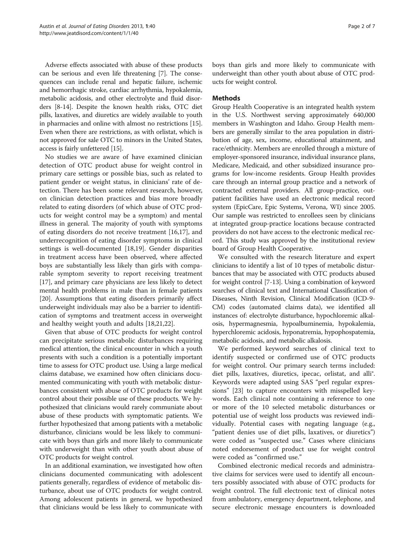Adverse effects associated with abuse of these products can be serious and even life threatening [\[7](#page-5-0)]. The consequences can include renal and hepatic failure, ischemic and hemorrhagic stroke, cardiac arrhythmia, hypokalemia, metabolic acidosis, and other electrolyte and fluid disorders [[8](#page-5-0)-[14](#page-5-0)]. Despite the known health risks, OTC diet pills, laxatives, and diuretics are widely available to youth in pharmacies and online with almost no restrictions [[15](#page-6-0)]. Even when there are restrictions, as with orlistat, which is not approved for sale OTC to minors in the United States, access is fairly unfettered [\[15\]](#page-6-0).

No studies we are aware of have examined clinician detection of OTC product abuse for weight control in primary care settings or possible bias, such as related to patient gender or weight status, in clinicians' rate of detection. There has been some relevant research, however, on clinician detection practices and bias more broadly related to eating disorders (of which abuse of OTC products for weight control may be a symptom) and mental illness in general. The majority of youth with symptoms of eating disorders do not receive treatment [\[16,17\]](#page-6-0), and underrecognition of eating disorder symptoms in clinical settings is well-documented [\[18,19](#page-6-0)]. Gender disparities in treatment access have been observed, where affected boys are substantially less likely than girls with comparable symptom severity to report receiving treatment [[17\]](#page-6-0), and primary care physicians are less likely to detect mental health problems in male than in female patients [[20\]](#page-6-0). Assumptions that eating disorders primarily affect underweight individuals may also be a barrier to identification of symptoms and treatment access in overweight and healthy weight youth and adults [[18,21,22\]](#page-6-0).

Given that abuse of OTC products for weight control can precipitate serious metabolic disturbances requiring medical attention, the clinical encounter in which a youth presents with such a condition is a potentially important time to assess for OTC product use. Using a large medical claims database, we examined how often clinicians documented communicating with youth with metabolic disturbances consistent with abuse of OTC products for weight control about their possible use of these products. We hypothesized that clinicians would rarely communiate about abuse of these products with symptomatic patients. We further hypothesized that among patients with a metabolic disturbance, clinicians would be less likely to communicate with boys than girls and more likely to communicate with underweight than with other youth about abuse of OTC products for weight control.

In an additional examination, we investigated how often clinicians documented communicating with adolescent patients generally, regardless of evidence of metabolic disturbance, about use of OTC products for weight control. Among adolescent patients in general, we hypothesized that clinicians would be less likely to communicate with boys than girls and more likely to communicate with underweight than other youth about abuse of OTC products for weight control.

# Methods

Group Health Cooperative is an integrated health system in the U.S. Northwest serving approximately 640,000 members in Washington and Idaho. Group Health members are generally similar to the area population in distribution of age, sex, income, educational attainment, and race/ethnicity. Members are enrolled through a mixture of employer-sponsored insurance, individual insurance plans, Medicare, Medicaid, and other subsidized insurance programs for low-income residents. Group Health provides care through an internal group practice and a network of contracted external providers. All group-practice, outpatient facilities have used an electronic medical record system (EpicCare, Epic Systems, Verona, WI) since 2005. Our sample was restricted to enrollees seen by clinicians at integrated group-practice locations because contracted providers do not have access to the electronic medical record. This study was approved by the institutional review board of Group Health Cooperative.

We consulted with the research literature and expert clinicians to identify a list of 10 types of metabolic disturbances that may be associated with OTC products abused for weight control [[7](#page-5-0)-[13](#page-5-0)]. Using a combination of keyword searches of clinical text and International Classification of Diseases, Ninth Revision, Clinical Modification (ICD-9- CM) codes (automated claims data), we identified all instances of: electrolyte disturbance, hypochloremic alkalosis, hypermagnesmia, hypoalbuminemia, hypokalemia, hyperchloremic acidosis, hyponatremia, hypophospatemia, metabolic acidosis, and metabolic alkalosis.

We performed keyword searches of clinical text to identify suspected or confirmed use of OTC products for weight control. Our primary search terms included: diet pills, laxatives, diuretics, ipecac, orlistat, and alli®. Keywords were adapted using SAS "perl regular expressions" [[23](#page-6-0)] to capture encounters with misspelled keywords. Each clinical note containing a reference to one or more of the 10 selected metabolic disturbances or potential use of weight loss products was reviewed individually. Potential cases with negating language (e.g., "patient denies use of diet pills, laxatives, or diuretics") were coded as "suspected use." Cases where clinicians noted endorsement of product use for weight control were coded as "confirmed use."

Combined electronic medical records and administrative claims for services were used to identify all encounters possibly associated with abuse of OTC products for weight control. The full electronic text of clinical notes from ambulatory, emergency department, telephone, and secure electronic message encounters is downloaded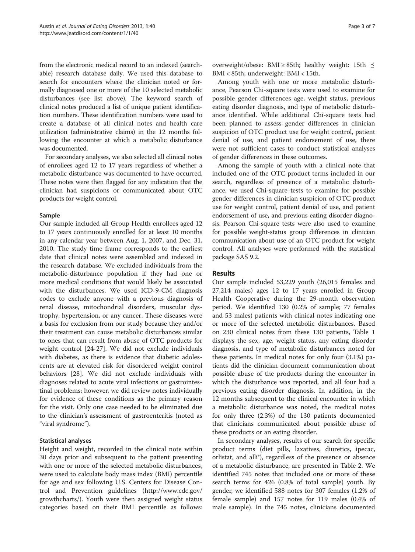from the electronic medical record to an indexed (searchable) research database daily. We used this database to search for encounters where the clinician noted or formally diagnosed one or more of the 10 selected metabolic disturbances (see list above). The keyword search of clinical notes produced a list of unique patient identification numbers. These identification numbers were used to create a database of all clinical notes and health care utilization (administrative claims) in the 12 months following the encounter at which a metabolic disturbance was documented.

For secondary analyses, we also selected all clinical notes of enrollees aged 12 to 17 years regardless of whether a metabolic disturbance was documented to have occurred. These notes were then flagged for any indication that the clinician had suspicions or communicated about OTC products for weight control.

#### Sample

Our sample included all Group Health enrollees aged 12 to 17 years continuously enrolled for at least 10 months in any calendar year between Aug. 1, 2007, and Dec. 31, 2010. The study time frame corresponds to the earliest date that clinical notes were assembled and indexed in the research database. We excluded individuals from the metabolic-disturbance population if they had one or more medical conditions that would likely be associated with the disturbances. We used ICD-9-CM diagnosis codes to exclude anyone with a previous diagnosis of renal disease, mitochondrial disorders, muscular dystrophy, hypertension, or any cancer. These diseases were a basis for exclusion from our study because they and/or their treatment can cause metabolic disturbances similar to ones that can result from abuse of OTC products for weight control [[24-27\]](#page-6-0). We did not exclude individuals with diabetes, as there is evidence that diabetic adolescents are at elevated risk for disordered weight control behaviors [[28\]](#page-6-0). We did not exclude individuals with diagnoses related to acute viral infections or gastrointestinal problems; however, we did review notes individually for evidence of these conditions as the primary reason for the visit. Only one case needed to be eliminated due to the clinician's assessment of gastroenteritis (noted as "viral syndrome").

# Statistical analyses

Height and weight, recorded in the clinical note within 30 days prior and subsequent to the patient presenting with one or more of the selected metabolic disturbances, were used to calculate body mass index (BMI) percentile for age and sex following U.S. Centers for Disease Control and Prevention guidelines ([http://www.cdc.gov/](http://www.cdc.gov/growthcharts/) [growthcharts/\)](http://www.cdc.gov/growthcharts/). Youth were then assigned weight status categories based on their BMI percentile as follows:

overweight/obese: BMI ≥ 85th; healthy weight: 15th  $\leq$ BMI < 85th; underweight: BMI < 15th.

Among youth with one or more metabolic disturbance, Pearson Chi-square tests were used to examine for possible gender differences age, weight status, previous eating disorder diagnosis, and type of metabolic disturbance identified. While additional Chi-square tests had been planned to assess gender differences in clinician suspicion of OTC product use for weight control, patient denial of use, and patient endorsement of use, there were not sufficient cases to conduct statistical analyses of gender differences in these outcomes.

Among the sample of youth with a clinical note that included one of the OTC product terms included in our search, regardless of presence of a metabolic disturbance, we used Chi-square tests to examine for possible gender differences in clinician suspicion of OTC product use for weight control, patient denial of use, and patient endorsement of use, and previous eating disorder diagnosis. Pearson Chi-square tests were also used to examine for possible weight-status group differences in clinician communication about use of an OTC product for weight control. All analyses were performed with the statistical package SAS 9.2.

## Results

Our sample included 53,229 youth (26,015 females and 27,214 males) ages 12 to 17 years enrolled in Group Health Cooperative during the 29-month observation period. We identified 130 (0.2% of sample; 77 females and 53 males) patients with clinical notes indicating one or more of the selected metabolic disturbances. Based on 230 clinical notes from these 130 patients, Table [1](#page-3-0) displays the sex, age, weight status, any eating disorder diagnosis, and type of metabolic disturbances noted for these patients. In medical notes for only four (3.1%) patients did the clinician document communication about possible abuse of the products during the encounter in which the disturbance was reported, and all four had a previous eating disorder diagnosis. In addition, in the 12 months subsequent to the clinical encounter in which a metabolic disturbance was noted, the medical notes for only three (2.3%) of the 130 patients documented that clinicians communicated about possible abuse of these products or an eating disorder.

In secondary analyses, results of our search for specific product terms (diet pills, laxatives, diuretics, ipecac, orlistat, and alli®), regardless of the presence or absence of a metabolic disturbance, are presented in Table [2.](#page-3-0) We identified 745 notes that included one or more of these search terms for 426 (0.8% of total sample) youth. By gender, we identified 588 notes for 307 females (1.2% of female sample) and 157 notes for 119 males (0.4% of male sample). In the 745 notes, clinicians documented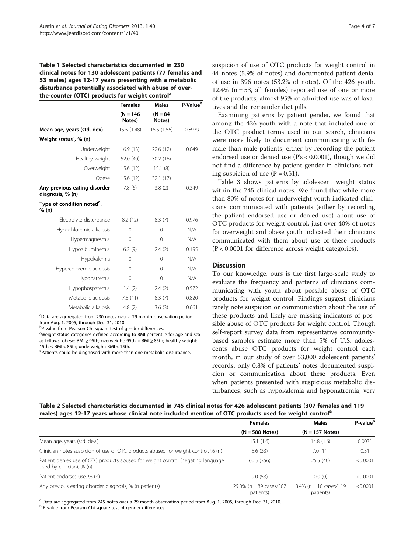#### <span id="page-3-0"></span>Table 1 Selected characteristics documented in 230 clinical notes for 130 adolescent patients (77 females and 53 males) ages 12-17 years presenting with a metabolic disturbance potentially associated with abuse of overthe-counter (OTC) products for weight control<sup>a</sup>

|                                                  | <b>Females</b><br><b>Males</b> |                      | P-Value <sup>b</sup> |  |
|--------------------------------------------------|--------------------------------|----------------------|----------------------|--|
|                                                  | $(N = 146)$<br>Notes)          | $(N = 84)$<br>Notes) |                      |  |
| Mean age, years (std. dev)                       | 15.5(1.48)                     | 15.5 (1.56)          | 0.8979               |  |
| Weight status <sup>c</sup> , % (n)               |                                |                      |                      |  |
| Underweight                                      | 16.9(13)                       | 22.6 (12)            | 0.049                |  |
| Healthy weight                                   | 52.0 (40)                      | 30.2(16)             |                      |  |
| Overweight                                       | 15.6(12)                       | 15.1(8)              |                      |  |
| Obese                                            | 15.6(12)                       | 32.1 (17)            |                      |  |
| Any previous eating disorder<br>diagnosis, % (n) | 7.8(6)                         | 3.8(2)               | 0.349                |  |
| Type of condition noted <sup>d</sup> ,<br>% (n)  |                                |                      |                      |  |
| Electrolyte disturbance                          | 8.2(12)                        | 8.3(7)               | 0.976                |  |
| Hypochloremic alkalosis                          | $\Omega$                       | $\Omega$             | N/A                  |  |
| Hypermagnesmia                                   | 0                              | $\Omega$             | N/A                  |  |
| Hypoalbuminemia                                  | 6.2(9)                         | 2.4(2)               | 0.195                |  |
| Hypokalemia                                      | $\Omega$                       | $\Omega$             | N/A                  |  |
| Hyperchloremic acidosis                          | $\Omega$                       | $\Omega$             | N/A                  |  |
| Hyponatremia                                     | 0                              | 0                    | N/A                  |  |
| Hypophospatemia                                  | 1.4(2)                         | 2.4(2)               | 0.572                |  |
| Metabolic acidosis                               | 7.5(11)                        | 8.3(7)               | 0.820                |  |
| Metabolic alkalosis                              | 4.8(7)                         | 3.6(3)               | 0.661                |  |

<sup>a</sup>Data are aggregated from 230 notes over a 29-month observation period from Aug. 1, 2005, through Dec. 31, 2010.

<sup>b</sup>P-value from Pearson Chi-square test of gender differences.

<sup>c</sup>Weight status categories defined according to BMI percentile for age and sex as follows: obese: BMI ≥ 95th; overweight: 95th > BMI ≥ 85th; healthy weight:  $15th < BH < 85th$ ; underweight: BMI < 15th.

Patients could be diagnosed with more than one metabolic disturbance.

suspicion of use of OTC products for weight control in 44 notes (5.9% of notes) and documented patient denial of use in 396 notes (53.2% of notes). Of the 426 youth, 12.4% ( $n = 53$ , all females) reported use of one or more of the products; almost 95% of admitted use was of laxatives and the remainder diet pills.

Examining patterns by patient gender, we found that among the 426 youth with a note that included one of the OTC product terms used in our search, clinicians were more likely to document communicating with female than male patients, either by recording the patient endorsed use or denied use (P's < 0.0001), though we did not find a difference by patient gender in clinicians noting suspicion of use  $(P = 0.51)$ .

Table [3](#page-4-0) shows patterns by adolescent weight status within the 745 clinical notes. We found that while more than 80% of notes for underweight youth indicated clinicians communicated with patients (either by recording the patient endorsed use or denied use) about use of OTC products for weight control, just over 40% of notes for overweight and obese youth indicated their clinicians communicated with them about use of these products (P < 0.0001 for difference across weight categories).

#### **Discussion**

To our knowledge, ours is the first large-scale study to evaluate the frequency and patterns of clinicians communicating with youth about possible abuse of OTC products for weight control. Findings suggest clinicians rarely note suspicion or communication about the use of these products and likely are missing indicators of possible abuse of OTC products for weight control. Though self-report survey data from representative communitybased samples estimate more than 5% of U.S. adolescents abuse OTC products for weight control each month, in our study of over 53,000 adolescent patients' records, only 0.8% of patients' notes documented suspicion or communication about these products. Even when patients presented with suspicious metabolic disturbances, such as hypokalemia and hyponatremia, very

#### Table 2 Selected characteristics documented in 745 clinical notes for 426 adolescent patients (307 females and 119 males) ages 12-17 years whose clinical note included mention of OTC products used for weight control<sup>a</sup>

|                                                                                                               | <b>Females</b>                       | <b>Males</b>                           | P-value <sup>b</sup> |  |
|---------------------------------------------------------------------------------------------------------------|--------------------------------------|----------------------------------------|----------------------|--|
|                                                                                                               | $(N = 588$ Notes)                    | $(N = 157$ Notes)                      |                      |  |
| Mean age, years (std. dev.)                                                                                   | 15.1 (1.6)                           | 14.8 (1.6)                             | 0.0031               |  |
| Clinician notes suspicion of use of OTC products abused for weight control, % (n)                             | 5.6(33)                              | 7.0(11)                                | 0.51                 |  |
| Patient denies use of OTC products abused for weight control (negating language)<br>used by clinician), % (n) | 60.5 (356)                           | 25.5(40)                               | < 0.0001             |  |
| Patient endorses use, % (n)                                                                                   | 9.0(53)                              | 0.0(0)                                 | < 0.0001             |  |
| Any previous eating disorder diagnosis, % (n patients)                                                        | 29.0% (n = 89 cases/307<br>patients) | $8.4\%$ (n = 10 cases/119<br>patients) | < 0.0001             |  |

<sup>a</sup> Data are aggregated from 745 notes over a 29-month observation period from Aug. 1, 2005, through Dec. 31, 2010.

b P-value from Pearson Chi-square test of gender differences.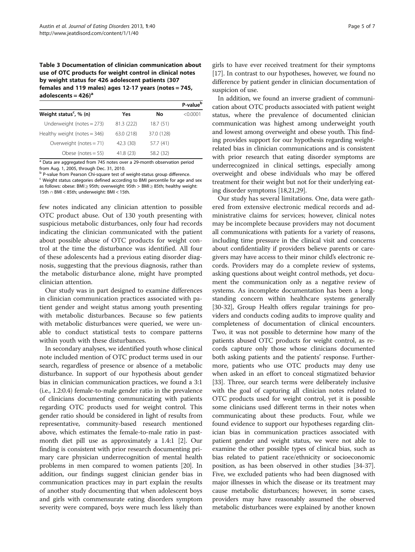<span id="page-4-0"></span>Table 3 Documentation of clinician communication about use of OTC products for weight control in clinical notes by weight status for 426 adolescent patients (307 females and 119 males) ages 12-17 years (notes = 745, adolescents  $= 426$ <sup>a</sup>

|                                      |            |            | P-value <sup>b</sup> |
|--------------------------------------|------------|------------|----------------------|
| Weight status <sup>c</sup> , $% (n)$ | Yes        | No         | < 0.0001             |
| Underweight (notes $=$ 273)          | 81.3 (222) | 18.7(51)   |                      |
| Healthy weight (notes $=$ 346)       | 63.0 (218) | 37.0 (128) |                      |
| Overweight (notes $= 71$ )           | 42.3 (30)  | 57.7 (41)  |                      |
| Obese (notes $= 55$ )                | 41.8 (23)  | 58.2 (32)  |                      |

<sup>a</sup> Data are aggregated from 745 notes over a 29-month observation period from Aug. 1, 2005, through Dec. 31, 2010.

<sup>b</sup> P-value from Pearson Chi-square test of weight-status group difference.

<sup>c</sup> Weight status categories defined according to BMI percentile for age and sex as follows: obese: BMI  $\geq$  95th; overweight: 95th > BMI  $\geq$  85th; healthy weight: 15th ∩ BMI < 85th; underweight: BMI < 15th.

few notes indicated any clinician attention to possible OTC product abuse. Out of 130 youth presenting with suspicious metabolic disturbances, only four had records indicating the clinician communicated with the patient about possible abuse of OTC products for weight control at the time the disturbance was identified. All four of these adolescents had a previous eating disorder diagnosis, suggesting that the previous diagnosis, rather than the metabolic disturbance alone, might have prompted clinician attention.

Our study was in part designed to examine differences in clinician communication practices associated with patient gender and weight status among youth presenting with metabolic disturbances. Because so few patients with metabolic disturbances were queried, we were unable to conduct statistical tests to compare patterns within youth with these disturbances.

In secondary analyses, we identified youth whose clinical note included mention of OTC product terms used in our search, regardless of presence or absence of a metabolic disturbance. In support of our hypothesis about gender bias in clinician communication practices, we found a 3:1 (i.e., 1.2:0.4) female-to-male gender ratio in the prevalence of clinicians documenting communicating with patients regarding OTC products used for weight control. This gender ratio should be considered in light of results from representative, community-based research mentioned above, which estimates the female-to-male ratio in pastmonth diet pill use as approximately a 1.4:1 [[2\]](#page-5-0). Our finding is consistent with prior research documenting primary care physician underrecognition of mental health problems in men compared to women patients [[20](#page-6-0)]. In addition, our findings suggest clinician gender bias in communication practices may in part explain the results of another study documenting that when adolescent boys and girls with commensurate eating disorders symptom severity were compared, boys were much less likely than

girls to have ever received treatment for their symptoms [[17](#page-6-0)]. In contrast to our hypotheses, however, we found no difference by patient gender in clinician documentation of suspicion of use.

In addition, we found an inverse gradient of communication about OTC products associated with patient weight status, where the prevalence of documented clinician communication was highest among underweight youth and lowest among overweight and obese youth. This finding provides support for our hypothesis regarding weightrelated bias in clinician communications and is consistent with prior research that eating disorder symptoms are underrecognized in clinical settings, especially among overweight and obese individuals who may be offered treatment for their weight but not for their underlying eating disorder symptoms [\[18,21](#page-6-0),[29](#page-6-0)].

Our study has several limitations. One, data were gathered from extensive electronic medical records and administrative claims for services; however, clinical notes may be incomplete because providers may not document all communications with patients for a variety of reasons, including time pressure in the clinical visit and concerns about confidentiality if providers believe parents or caregivers may have access to their minor child's electronic records. Providers may do a complete review of systems, asking questions about weight control methods, yet document the communication only as a negative review of systems. As incomplete documentation has been a longstanding concern within healthcare systems generally [[30](#page-6-0)-[32\]](#page-6-0), Group Health offers regular trainings for providers and conducts coding audits to improve quality and completeness of documentation of clinical encounters. Two, it was not possible to determine how many of the patients abused OTC products for weight control, as records capture only those whose clinicians documented both asking patients and the patients' response. Furthermore, patients who use OTC products may deny use when asked in an effort to conceal stigmatized behavior [[33](#page-6-0)]. Three, our search terms were deliberately inclusive with the goal of capturing all clinician notes related to OTC products used for weight control, yet it is possible some clinicians used different terms in their notes when communicating about these products. Four, while we found evidence to support our hypotheses regarding clinician bias in communication practices associated with patient gender and weight status, we were not able to examine the other possible types of clinical bias, such as bias related to patient race/ethnicity or socioeconomic position, as has been observed in other studies [[34](#page-6-0)-[37](#page-6-0)]. Five, we excluded patients who had been diagnosed with major illnesses in which the disease or its treatment may cause metabolic disturbances; however, in some cases, providers may have reasonably assumed the observed metabolic disturbances were explained by another known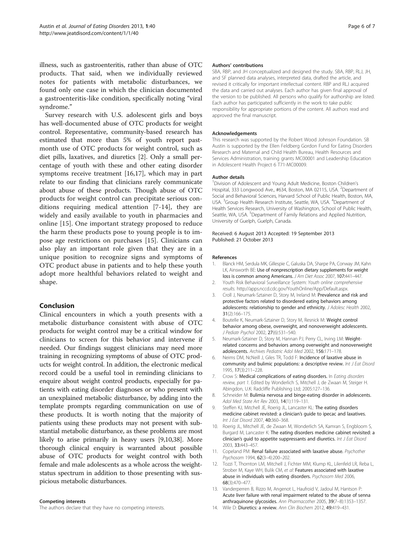<span id="page-5-0"></span>illness, such as gastroenteritis, rather than abuse of OTC products. That said, when we individually reviewed notes for patients with metabolic disturbances, we found only one case in which the clinician documented a gastroenteritis-like condition, specifically noting "viral syndrome."

Survey research with U.S. adolescent girls and boys has well-documented abuse of OTC products for weight control. Representative, community-based research has estimated that more than 5% of youth report pastmonth use of OTC products for weight control, such as diet pills, laxatives, and diuretics [2]. Only a small percentage of youth with these and other eating disorder symptoms receive treatment [[16,17\]](#page-6-0), which may in part relate to our finding that clinicians rarely communicate about abuse of these products. Though abuse of OTC products for weight control can precipitate serious conditions requiring medical attention [7-14], they are widely and easily available to youth in pharmacies and online [\[15](#page-6-0)]. One important strategy proposed to reduce the harm these products pose to young people is to impose age restrictions on purchases [\[15](#page-6-0)]. Clinicians can also play an important role given that they are in a unique position to recognize signs and symptoms of OTC product abuse in patients and to help these youth adopt more healthful behaviors related to weight and shape.

# Conclusion

Clinical encounters in which a youth presents with a metabolic disturbance consistent with abuse of OTC products for weight control may be a critical window for clinicians to screen for this behavior and intervene if needed. Our findings suggest clinicians may need more training in recognizing symptoms of abuse of OTC products for weight control. In addition, the electronic medical record could be a useful tool in reminding clinicians to enquire about weight control products, especially for patients with eating disorder diagnoses or who present with an unexplained metabolic disturbance, by adding into the template prompts regarding communication on use of these products. It is worth noting that the majority of patients using these products may not present with substantial metabolic disturbance, as these problems are most likely to arise primarily in heavy users [9,10,[38](#page-6-0)]. More thorough clinical enquiry is warranted about possible abuse of OTC products for weight control with both female and male adolescents as a whole across the weightstatus spectrum in addition to those presenting with suspicious metabolic disturbances.

#### Competing interests

The authors declare that they have no competing interests.

#### Authors' contributions

SBA, RBP, and JH conceptualized and designed the study. SBA, RBP, RLJ, JH, and SF planned data analyses, interpreted data, drafted the article, and revised it critically for important intellectual content. RBP and RLJ acquired the data and carried out analyses. Each author has given final approval of the version to be published. All persons who qualify for authorship are listed. Each author has participated sufficiently in the work to take public responsibility for appropriate portions of the content. All authors read and approved the final manuscript.

#### Acknowledgements

This research was supported by the Robert Wood Johnson Foundation. SB Austin is supported by the Ellen Feldberg Gordon Fund for Eating Disorders Research and Maternal and Child Health Bureau, Health Resources and Services Administration, training grants MC00001 and Leadership Education in Adolescent Health Project 6 T71-MC00009.

#### Author details

<sup>1</sup> Division of Adolescent and Young Adult Medicine, Boston Children's Hospital, 333 Longwood Ave., #634, Boston, MA 02115, USA. <sup>2</sup>Department of Social and Behavioral Sciences, Harvard School of Public Health, Boston, MA, USA. <sup>3</sup> Group Health Research Institute, Seattle, WA, USA. <sup>4</sup> Department of Health Services Research, University of Washington, School of Public Health, Seattle, WA, USA.<sup>5</sup> Department of Family Relations and Applied Nutrition, University of Guelph, Guelph, Canada.

#### Received: 6 August 2013 Accepted: 19 September 2013 Published: 21 October 2013

#### References

- 1. Blanck HM, Serdula MK, Gillespie C, Galuska DA, Sharpe PA, Conway JM, Kahn LK, Ainsworth BE: Use of nonprescription dietary supplements for weight loss is common among Americans. J Am Diet Assoc 2007, 107:441–447.
- 2. Youth Risk Behavioral Surveillance System: Youth online comprehensive results. [http://apps.nccd.cdc.gov/YouthOnline/App/Default.aspx.](http://apps.nccd.cdc.gov/YouthOnline/App/Default.aspx)
- 3. Croll J, Neumark-Sztainer D, Story M, Ireland M: Prevalence and risk and protective factors related to disordered eating behaviors among adolescents: relationship to gender and ethnicity. J Adolesc Health 2002, 31(2):166–175.
- 4. Boutelle K, Neumark-Sztainer D, Story M, Resnick M: Weight control behavior among obese, overweight, and nonoverweight adolescents. J Pediatr Psychol 2002, 27(6):531–540.
- 5. Neumark-Sztainer D, Story M, Hannan PJ, Perry CL, Irving LM: Weightrelated concerns and behaviors among overweight and nonoverweight adolescents. Archives Pediatric Adol Med 2002, 156:171–178.
- 6. Neims DM, NcNeill J, Giles TR, Todd F: Incidence of laxative abuse in community and bulimic populations: a descriptive review. Int J Eat Disord 1995, 17(3):211–228.
- 7. Crow S: Medical complications of eating disorders. In Eating disorders review, part 1. Edited by Wonderlich S, Mitchell J, de Zwaan M, Steiger H. Abingdon, U.K: Radcliffe Publishing Ltd; 2005:127–136.
- 8. Schneider M: Bulimia nervosa and binge-eating disorder in adolescents. Adol Med State Art Rev 2003, 14(1):119–131.
- Steffen KJ, Mitchell JE, Roerig JL, Lancaster KL: The eating disorders medicine cabinet revisted: a clinician's guide to ipecac and laxatives. Int J Eat Disord 2007, 40:360–368.
- 10. Roerig JL, Mitchell JE, de Zwaan M, Wonderlich SA, Kamran S, Engbloom S, Burgard M, Lancaster K: The eating disorders medicine cabinet revisited: a clinician's guid to appetite suppressants and diuretics. Int J Eat Disord 2003, 33:443–457.
- 11. Copeland PM: Renal failure associated with laxative abuse. Psychother Psychosom 1994, 62(3–4):200–202.
- 12. Tozzi T, Thornton LM, Mitchell J, Fichter MM, Klump KL, Lilenfeld LR, Reba L, Strober M, Kaye WH, Bulik CM, et al: Features associated with laxative abuse in individuals with eating disorders. Psychosom Med 2006, 68(3):470–477.
- 13. Vanderperren B, Rizzo M, Angenot L, Haufroid V, Jadoul M, Hantson P: Acute liver failure with renal impairment related to the abuse of senna anthraquinone glycosides. Ann Pharmacother 2005, 39(7–8):1353–1357.
- 14. Wile D: Diuretics: a review. Ann Clin Biochem 2012, 49:419-431.